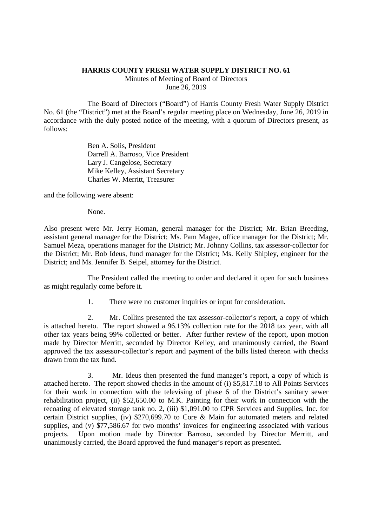## **HARRIS COUNTY FRESH WATER SUPPLY DISTRICT NO. 61**

Minutes of Meeting of Board of Directors June 26, 2019

The Board of Directors ("Board") of Harris County Fresh Water Supply District No. 61 (the "District") met at the Board's regular meeting place on Wednesday, June 26, 2019 in accordance with the duly posted notice of the meeting, with a quorum of Directors present, as follows:

> Ben A. Solis, President Darrell A. Barroso, Vice President Lary J. Cangelose, Secretary Mike Kelley, Assistant Secretary Charles W. Merritt, Treasurer

and the following were absent:

None.

Also present were Mr. Jerry Homan, general manager for the District; Mr. Brian Breeding, assistant general manager for the District; Ms. Pam Magee, office manager for the District; Mr. Samuel Meza, operations manager for the District; Mr. Johnny Collins, tax assessor-collector for the District; Mr. Bob Ideus, fund manager for the District; Ms. Kelly Shipley, engineer for the District; and Ms. Jennifer B. Seipel, attorney for the District.

The President called the meeting to order and declared it open for such business as might regularly come before it.

1. There were no customer inquiries or input for consideration.

2. Mr. Collins presented the tax assessor-collector's report, a copy of which is attached hereto. The report showed a 96.13% collection rate for the 2018 tax year, with all other tax years being 99% collected or better. After further review of the report, upon motion made by Director Merritt, seconded by Director Kelley, and unanimously carried, the Board approved the tax assessor-collector's report and payment of the bills listed thereon with checks drawn from the tax fund.

3. Mr. Ideus then presented the fund manager's report, a copy of which is attached hereto. The report showed checks in the amount of (i) \$5,817.18 to All Points Services for their work in connection with the televising of phase 6 of the District's sanitary sewer rehabilitation project, (ii) \$52,650.00 to M.K. Painting for their work in connection with the recoating of elevated storage tank no. 2, (iii) \$1,091.00 to CPR Services and Supplies, Inc. for certain District supplies, (iv) \$270,699.70 to Core & Main for automated meters and related supplies, and (v) \$77,586.67 for two months' invoices for engineering associated with various projects. Upon motion made by Director Barroso, seconded by Director Merritt, and unanimously carried, the Board approved the fund manager's report as presented.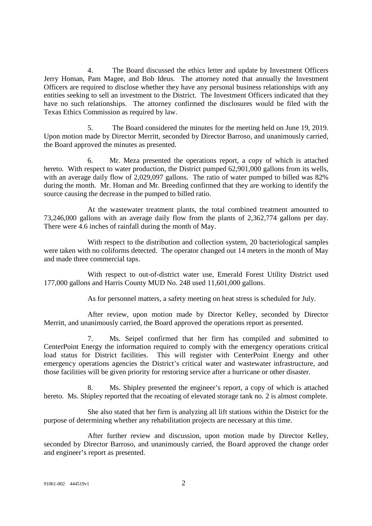4. The Board discussed the ethics letter and update by Investment Officers Jerry Homan, Pam Magee, and Bob Ideus. The attorney noted that annually the Investment Officers are required to disclose whether they have any personal business relationships with any entities seeking to sell an investment to the District. The Investment Officers indicated that they have no such relationships. The attorney confirmed the disclosures would be filed with the Texas Ethics Commission as required by law.

5. The Board considered the minutes for the meeting held on June 19, 2019. Upon motion made by Director Merritt, seconded by Director Barroso, and unanimously carried, the Board approved the minutes as presented.

6. Mr. Meza presented the operations report, a copy of which is attached hereto. With respect to water production, the District pumped 62,901,000 gallons from its wells, with an average daily flow of 2,029,097 gallons. The ratio of water pumped to billed was 82% during the month. Mr. Homan and Mr. Breeding confirmed that they are working to identify the source causing the decrease in the pumped to billed ratio.

At the wastewater treatment plants, the total combined treatment amounted to 73,246,000 gallons with an average daily flow from the plants of 2,362,774 gallons per day. There were 4.6 inches of rainfall during the month of May.

With respect to the distribution and collection system, 20 bacteriological samples were taken with no coliforms detected. The operator changed out 14 meters in the month of May and made three commercial taps.

With respect to out-of-district water use, Emerald Forest Utility District used 177,000 gallons and Harris County MUD No. 248 used 11,601,000 gallons.

As for personnel matters, a safety meeting on heat stress is scheduled for July.

After review, upon motion made by Director Kelley, seconded by Director Merritt, and unanimously carried, the Board approved the operations report as presented.

7. Ms. Seipel confirmed that her firm has compiled and submitted to CenterPoint Energy the information required to comply with the emergency operations critical load status for District facilities. This will register with CenterPoint Energy and other emergency operations agencies the District's critical water and wastewater infrastructure, and those facilities will be given priority for restoring service after a hurricane or other disaster.

8. Ms. Shipley presented the engineer's report, a copy of which is attached hereto. Ms. Shipley reported that the recoating of elevated storage tank no. 2 is almost complete.

She also stated that her firm is analyzing all lift stations within the District for the purpose of determining whether any rehabilitation projects are necessary at this time.

After further review and discussion, upon motion made by Director Kelley, seconded by Director Barroso, and unanimously carried, the Board approved the change order and engineer's report as presented.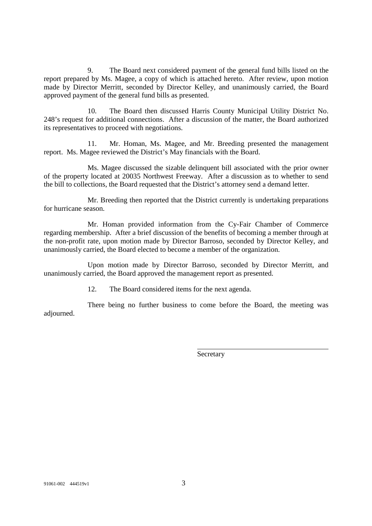9. The Board next considered payment of the general fund bills listed on the report prepared by Ms. Magee, a copy of which is attached hereto. After review, upon motion made by Director Merritt, seconded by Director Kelley, and unanimously carried, the Board approved payment of the general fund bills as presented.

10. The Board then discussed Harris County Municipal Utility District No. 248's request for additional connections. After a discussion of the matter, the Board authorized its representatives to proceed with negotiations.

11. Mr. Homan, Ms. Magee, and Mr. Breeding presented the management report. Ms. Magee reviewed the District's May financials with the Board.

Ms. Magee discussed the sizable delinquent bill associated with the prior owner of the property located at 20035 Northwest Freeway. After a discussion as to whether to send the bill to collections, the Board requested that the District's attorney send a demand letter.

Mr. Breeding then reported that the District currently is undertaking preparations for hurricane season.

Mr. Homan provided information from the Cy-Fair Chamber of Commerce regarding membership. After a brief discussion of the benefits of becoming a member through at the non-profit rate, upon motion made by Director Barroso, seconded by Director Kelley, and unanimously carried, the Board elected to become a member of the organization.

Upon motion made by Director Barroso, seconded by Director Merritt, and unanimously carried, the Board approved the management report as presented.

12. The Board considered items for the next agenda.

There being no further business to come before the Board, the meeting was adjourned.

**Secretary**